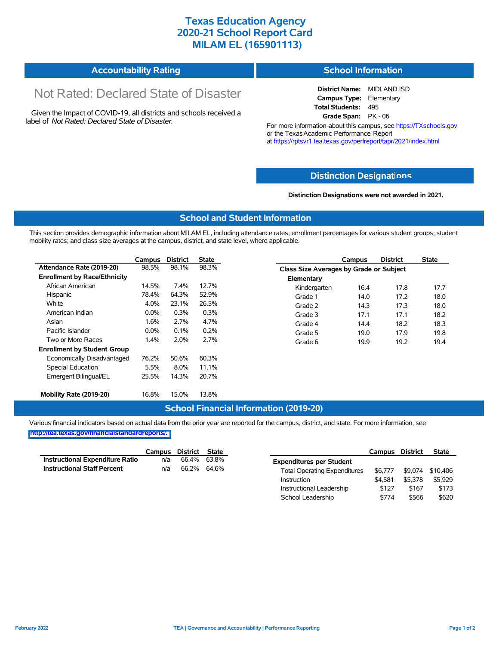# **Texas Education Agency 2020-21 School Report Card MILAM EL (165901113)**

#### **Accountability Rating School Information**

# Not Rated: Declared State of Disaster

Given the Impact of COVID-19, all districts and schools received a label of *Not Rated: Declared State of Disaster.*

**District Name:** MIDLAND ISD **Campus Type:** Elementary **Total Students:** 495 **Grade Span:** PK - 06

For more information about this campus, see https://TXschools.gov or the Texas Academic Performance Report at https://rptsvr1.tea.texas.gov/perfreport/tapr/2021/index.html

### **Distinction Designat[ions](https://TXschools.gov)**

**Distinction Designations were not awarded in 2021.**

Instructional Leadership  $$127$  \$167 \$173 School Leadership  $$774$  \$566 \$620

#### **School and Student Information**

This section provides demographic information about MILAM EL, including attendance rates; enrollment percentages for various student groups; student mobility rates; and class size averages at the campus, district, and state level, where applicable.

|                                     | Campus  | <b>District</b> | <b>State</b> |              | Campus                                  | <b>District</b> | <b>State</b> |  |  |
|-------------------------------------|---------|-----------------|--------------|--------------|-----------------------------------------|-----------------|--------------|--|--|
| Attendance Rate (2019-20)           | 98.5%   | 98.1%           | 98.3%        |              | Class Size Averages by Grade or Subject |                 |              |  |  |
| <b>Enrollment by Race/Ethnicity</b> |         |                 |              | Elementary   |                                         |                 |              |  |  |
| African American                    | 14.5%   | 7.4%            | 12.7%        | Kindergarten | 16.4                                    | 17.8            | 17.7         |  |  |
| Hispanic                            | 78.4%   | 64.3%           | 52.9%        | Grade 1      | 14.0                                    | 17.2            | 18.0         |  |  |
| White                               | 4.0%    | 23.1%           | 26.5%        | Grade 2      | 14.3                                    | 17.3            | 18.0         |  |  |
| American Indian                     | $0.0\%$ | 0.3%            | 0.3%         | Grade 3      | 17.1                                    | 17.1            | 18.2         |  |  |
| Asian                               | 1.6%    | 2.7%            | 4.7%         | Grade 4      | 14.4                                    | 18.2            | 18.3         |  |  |
| Pacific Islander                    | $0.0\%$ | 0.1%            | 0.2%         | Grade 5      | 19.0                                    | 17.9            | 19.8         |  |  |
| Two or More Races                   | $1.4\%$ | 2.0%            | 2.7%         | Grade 6      | 19.9                                    | 19.2            | 19.4         |  |  |
| <b>Enrollment by Student Group</b>  |         |                 |              |              |                                         |                 |              |  |  |
| Economically Disadvantaged          | 76.2%   | 50.6%           | 60.3%        |              |                                         |                 |              |  |  |
| <b>Special Education</b>            | 5.5%    | 8.0%            | 11.1%        |              |                                         |                 |              |  |  |
| Emergent Bilingual/EL               | 25.5%   | 14.3%           | 20.7%        |              |                                         |                 |              |  |  |
|                                     |         |                 |              |              |                                         |                 |              |  |  |
| Mobility Rate (2019-20)             | 16.8%   | 15.0%           | 13.8%        |              |                                         |                 |              |  |  |

#### **School Financial Information (2019-20)**

Various financial indicators based on actual data from the prior year are reported for the campus, district, and state. For more information, see

**[http://tea.texas.gov/financialstandardreports/.](http://tea.texas.gov/financialstandardreports/)**

|                                        | Campus | District    | State       |                                     | Campus  | <b>District</b> | <b>State</b>     |
|----------------------------------------|--------|-------------|-------------|-------------------------------------|---------|-----------------|------------------|
| <b>Instructional Expenditure Ratio</b> | n/a    |             | 66.4% 63.8% | <b>Expenditures per Student</b>     |         |                 |                  |
| <b>Instructional Staff Percent</b>     | n/a    | 66.2% 64.6% |             | <b>Total Operating Expenditures</b> | \$6.777 |                 | \$9,074 \$10,406 |
|                                        |        |             |             | Instruction                         | \$4.581 | \$5.378         | \$5.929          |